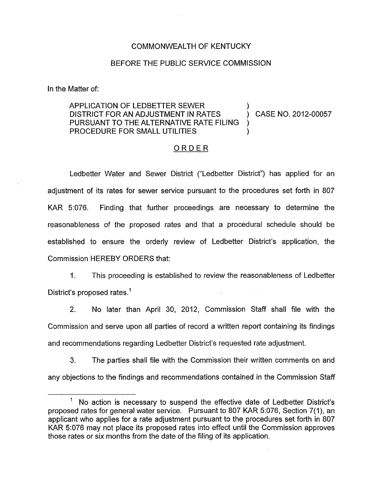## COMMONWEALTH OF KENTUCKY

## BEFORE THE PUBLIC SERVICE COMMISSION

In the Matter of:

## APPLICATION OF LEDBETTER SEWER PROCEDURE FOR SMALL UTILITIES DISTRICT FOR AN ADJUSTMENT IN RATES (CASE NO. 2012-00057) PURSUANT TO THE ALTERNATIVE RATE FILING

## ORDER

Ledbetter Water and Sewer District ("Ledbetter District") has applied for an adjustment of its rates for sewer service pursuant to the procedures set forth in 807 KAR  $5:076$ . Finding that further proceedings are necessary to determine the reasonableness of the proposed rates and that a procedural schedule should be established to ensure the orderly review of Ledbetter District's application, the Commission HEREBY ORDERS that:

1. This proceeding is established to review the reasonableness of Ledbetter District's proposed rates.<sup>1</sup>

2. No later than April 30, 2012, Commission Staff shall file with the Commission and serve upon all parties of record a written report containing its findings and recommendations regarding Ledbetter District's requested rate adjustment.

*3.* The parties shall file with the Commission their written comments on and any objections to the findings and recommendations contained in the Commission Staff

<sup>&#</sup>x27; No action is necessary to suspend the effective date of Ledbetter District's proposed rates for general water service. Pursuant to 807 KAR 5:076, Section 7(1), an applicant who applies for a rate adjustment pursuant to the procedures set forth in 807 KAR 5:076 may not place its proposed rates into effect until the Commission approves those rates or six months from the date of the filing of its application.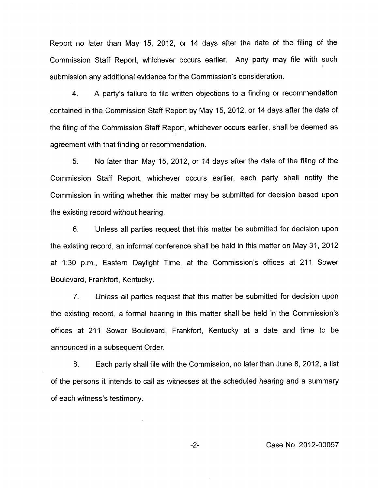Report no later than May 15, 2012, or 14 days after the date of the filing of the Commission Staff Report, whichever occurs earlier, Any party may file with such submission any additional evidence for the Commission's consideration.

4. A party's failure to file written objections to a finding or recommendation contained in the Commission Staff Report by May 15, 2012, or 14 days after the date of the filing of the Commission Staff Report, whichever occurs earlier, shall be deemed as agreement with that finding or recommendation.

5. No later than May 15, 2012, or 14 days after the date of the filing of the Commission Staff Report, whichever occurs earlier, each party shall notify the Commission in writing whether this matter may be submitted for decision based upon the existing record without hearing.

6. Unless all parties request that this matter be submitted for decision upon the existing record, an informal conference shall be held in this matter **on** May 31, 2012 at 1130 p.m., Eastern Daylight Time, at the Commission's offices at 211 Sower Boulevard, Frankfort, Kentucky.

7. Unless all parties request that this matter be submitted for decision upon the existing record, a formal hearing in this matter shall be held in the Commission's offices at 211 Sower Boulevard, Frankfort, Kentucky at a date and time to be announced in a subsequent Order.

8. Each party shall file with the Commission, no later than June 8, 2012, a list of the persons it intends to call as witnesses at the scheduled hearing and a summary of each witness's testimony.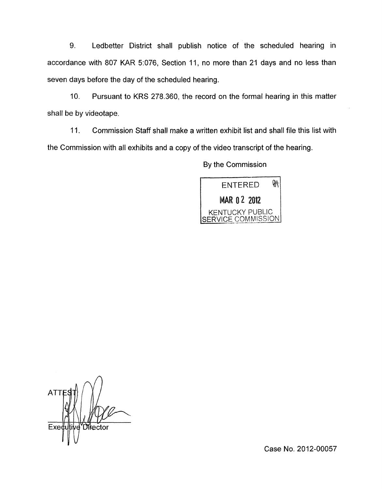9. Ledbetter District shall publish notice of the scheduled hearing in accordance with 807 KAR 5:076, Section 11, no more than 21 days and no less than seven days before the day of the scheduled hearing.

10. Pursuant to KRS 278.360, the record on the formal hearing in this matter shall be by videotape.

11. Commission Staff shall make a written exhibit list and shall file this list with the Commission with all exhibits and a copy of the video transcript of the hearing.

By the Commission



**ATT Difector** Exed Ίd

Case No. 2012-00057